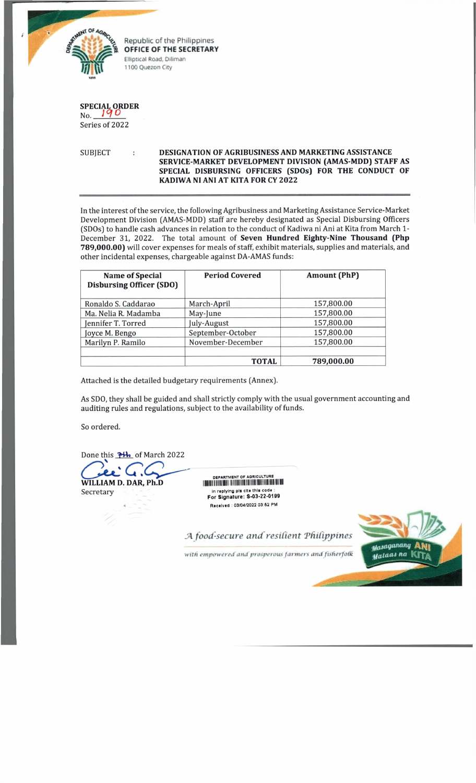

**OFFICE OF THE SECRETARY Elliptical Road, Diliman 1100 Quezon City**

**SPECIAL ORDER**

## **Nn** *1°IQ* Series of 2022

## SUBJECT **DESIGNATION OF AGRIBUSINESS AND MARKETING ASSISTANCE SERVICE-MARKET DEVELOPMENT DIVISION (AMAS-MDD) STAFF AS SPECIAL DISBURSING OFFICERS (SDOs) FOR THE CONDUCT OF KADIWA NI ANI AT KITA FOR CY 2022**

In the interest of the service, the following Agribusiness and Marketing Assistance Service-Market Development Division (AMAS-MDD] staff are hereby designated as Special Disbursing Officers (SDOs] to handle cash advances in relation to the conduct of Kadiwa ni Ani at Kita from March 1- December 31, 2022. The total amount of **Seven Hundred Eighty-Nine Thousand (Php** 789,000.00) will cover expenses for meals of staff, exhibit materials, supplies and materials, and other incidental expenses, chargeable against DA-AMAS funds:

| <b>Name of Special</b><br><b>Disbursing Officer (SDO)</b> | <b>Period Covered</b> | <b>Amount (PhP)</b> |  |
|-----------------------------------------------------------|-----------------------|---------------------|--|
| Ronaldo S. Caddarao                                       | March-April           | 157,800.00          |  |
| Ma. Nelia R. Madamba                                      | May-June              | 157,800.00          |  |
| Jennifer T. Torred                                        | July-August           | 157,800.00          |  |
| Joyce M. Bengo                                            | September-October     | 157,800.00          |  |
| November-December<br>Marilyn P. Ramilo                    |                       | 157,800.00          |  |
|                                                           |                       |                     |  |
|                                                           | <b>TOTAL</b>          | 789,000.00          |  |

Attached is the detailed budgetary requirements (Annex].

As SDO, they shall be guided and shall strictly comply with the usual government accounting and auditing rules and regulations, subject to the availability of funds.

So ordered.

Done this **TH** of March 2022

**WILLIAM D. DAR, Ph.D** Secretary

DEPARTMENT OF AOP'CULJURJS In replying pis cite this code : For Signature: S-03-22-0199 Received : 03/04/2022 03 62 PM

*JA food-secure and resident 'Philippines*



with empowered and prosperous farmers and fisherfolk